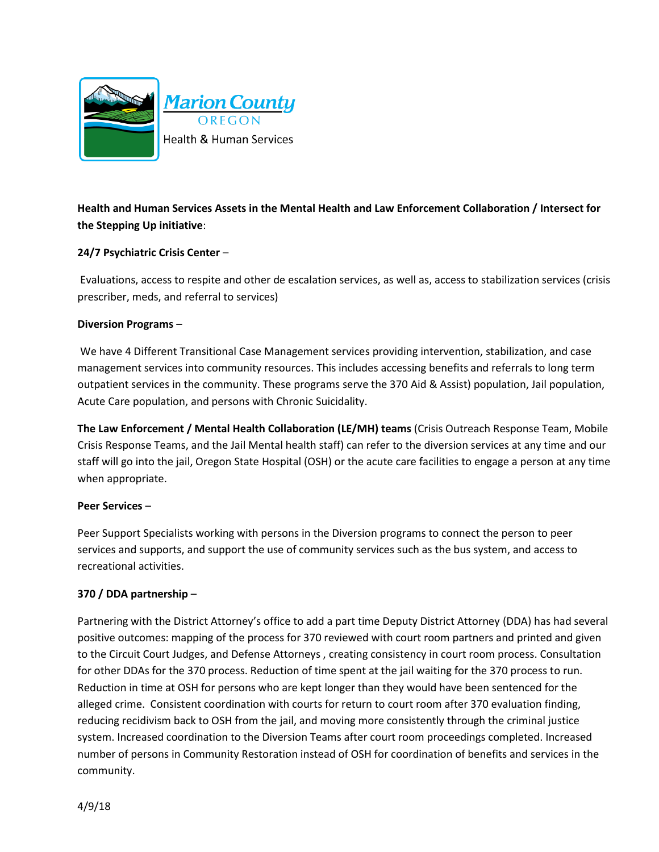

**Health and Human Services Assets in the Mental Health and Law Enforcement Collaboration / Intersect for the Stepping Up initiative**:

## **24/7 Psychiatric Crisis Center** –

Evaluations, access to respite and other de escalation services, as well as, access to stabilization services (crisis prescriber, meds, and referral to services)

## **Diversion Programs** –

We have 4 Different Transitional Case Management services providing intervention, stabilization, and case management services into community resources. This includes accessing benefits and referrals to long term outpatient services in the community. These programs serve the 370 Aid & Assist) population, Jail population, Acute Care population, and persons with Chronic Suicidality.

**The Law Enforcement / Mental Health Collaboration (LE/MH) teams** (Crisis Outreach Response Team, Mobile Crisis Response Teams, and the Jail Mental health staff) can refer to the diversion services at any time and our staff will go into the jail, Oregon State Hospital (OSH) or the acute care facilities to engage a person at any time when appropriate.

## **Peer Services** –

Peer Support Specialists working with persons in the Diversion programs to connect the person to peer services and supports, and support the use of community services such as the bus system, and access to recreational activities.

## **370 / DDA partnership** –

Partnering with the District Attorney's office to add a part time Deputy District Attorney (DDA) has had several positive outcomes: mapping of the process for 370 reviewed with court room partners and printed and given to the Circuit Court Judges, and Defense Attorneys , creating consistency in court room process. Consultation for other DDAs for the 370 process. Reduction of time spent at the jail waiting for the 370 process to run. Reduction in time at OSH for persons who are kept longer than they would have been sentenced for the alleged crime. Consistent coordination with courts for return to court room after 370 evaluation finding, reducing recidivism back to OSH from the jail, and moving more consistently through the criminal justice system. Increased coordination to the Diversion Teams after court room proceedings completed. Increased number of persons in Community Restoration instead of OSH for coordination of benefits and services in the community.